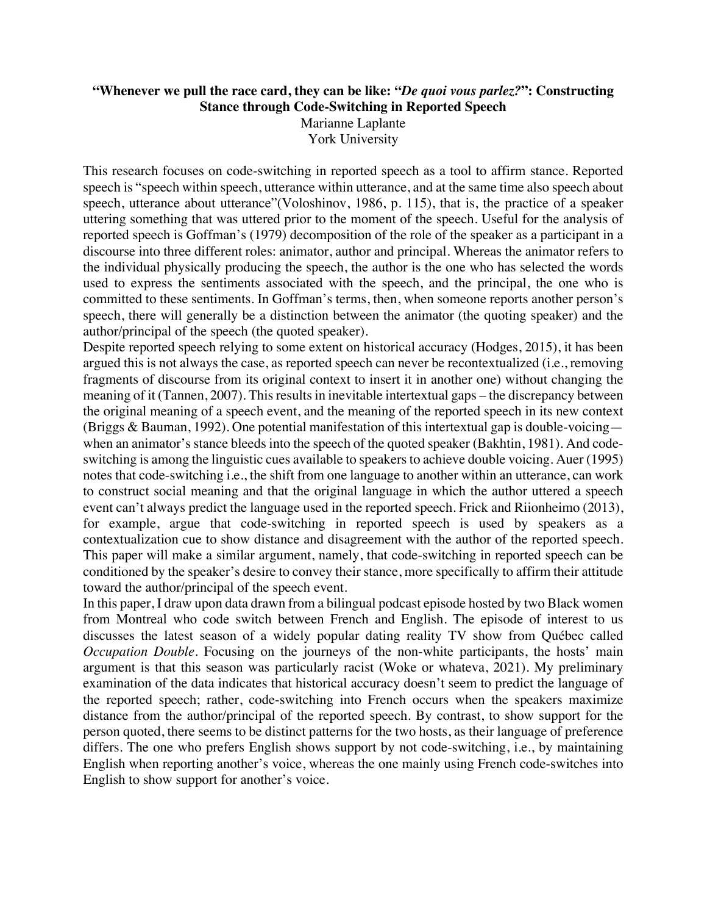## **"Whenever we pull the race card, they can be like: "***De quoi vous parlez?***": Constructing Stance through Code-Switching in Reported Speech** Marianne Laplante York University

This research focuses on code-switching in reported speech as a tool to affirm stance. Reported speech is "speech within speech, utterance within utterance, and at the same time also speech about speech, utterance about utterance"(Voloshinov, 1986, p. 115), that is, the practice of a speaker uttering something that was uttered prior to the moment of the speech. Useful for the analysis of reported speech is Goffman's (1979) decomposition of the role of the speaker as a participant in a discourse into three different roles: animator, author and principal. Whereas the animator refers to the individual physically producing the speech, the author is the one who has selected the words used to express the sentiments associated with the speech, and the principal, the one who is committed to these sentiments. In Goffman's terms, then, when someone reports another person's speech, there will generally be a distinction between the animator (the quoting speaker) and the author/principal of the speech (the quoted speaker).

Despite reported speech relying to some extent on historical accuracy (Hodges, 2015), it has been argued this is not always the case, as reported speech can never be recontextualized (i.e., removing fragments of discourse from its original context to insert it in another one) without changing the meaning of it (Tannen, 2007). This results in inevitable intertextual gaps – the discrepancy between the original meaning of a speech event, and the meaning of the reported speech in its new context (Briggs & Bauman, 1992). One potential manifestation of this intertextual gap is double-voicing when an animator's stance bleeds into the speech of the quoted speaker (Bakhtin, 1981). And codeswitching is among the linguistic cues available to speakers to achieve double voicing. Auer (1995) notes that code-switching i.e., the shift from one language to another within an utterance, can work to construct social meaning and that the original language in which the author uttered a speech event can't always predict the language used in the reported speech. Frick and Riionheimo (2013), for example, argue that code-switching in reported speech is used by speakers as a contextualization cue to show distance and disagreement with the author of the reported speech. This paper will make a similar argument, namely, that code-switching in reported speech can be conditioned by the speaker's desire to convey their stance, more specifically to affirm their attitude toward the author/principal of the speech event.

In this paper, I draw upon data drawn from a bilingual podcast episode hosted by two Black women from Montreal who code switch between French and English. The episode of interest to us discusses the latest season of a widely popular dating reality TV show from Québec called *Occupation Double*. Focusing on the journeys of the non-white participants, the hosts' main argument is that this season was particularly racist (Woke or whateva, 2021). My preliminary examination of the data indicates that historical accuracy doesn't seem to predict the language of the reported speech; rather, code-switching into French occurs when the speakers maximize distance from the author/principal of the reported speech. By contrast, to show support for the person quoted, there seems to be distinct patterns for the two hosts, as their language of preference differs. The one who prefers English shows support by not code-switching, i.e., by maintaining English when reporting another's voice, whereas the one mainly using French code-switches into English to show support for another's voice.